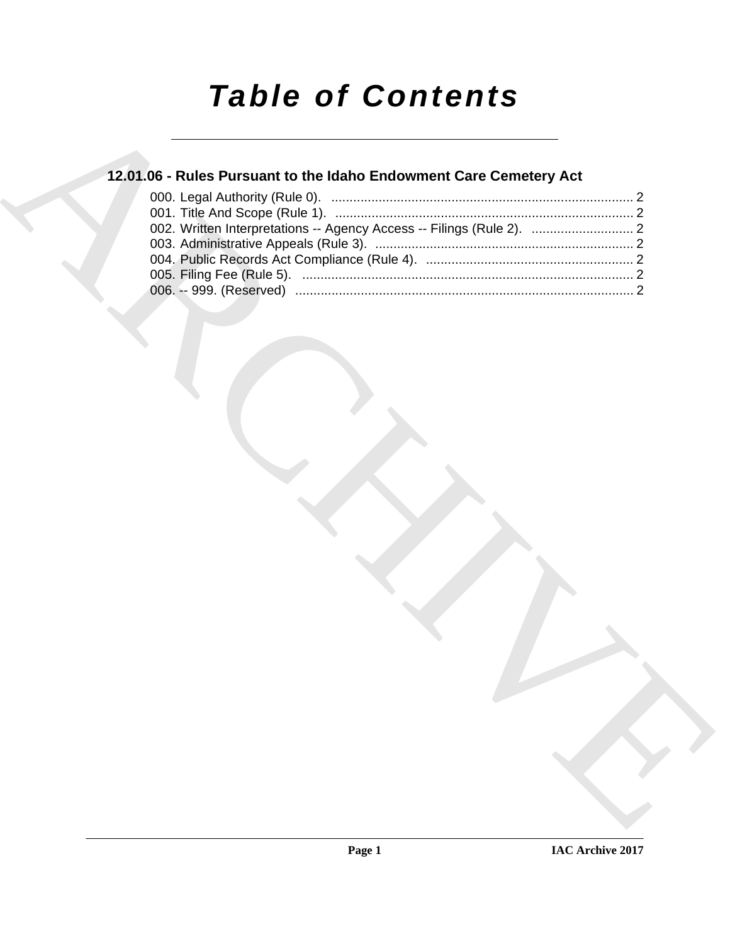# *Table of Contents*

### **12.01.06 - Rules Pursuant to the Idaho Endowment Care Cemetery Act**

| 12.01.06 - Rules Pursuant to the Idaho Endowment Care Cemetery Act    |  |
|-----------------------------------------------------------------------|--|
|                                                                       |  |
| 002. Written Interpretations -- Agency Access -- Filings (Rule 2).  2 |  |
|                                                                       |  |
|                                                                       |  |
|                                                                       |  |
|                                                                       |  |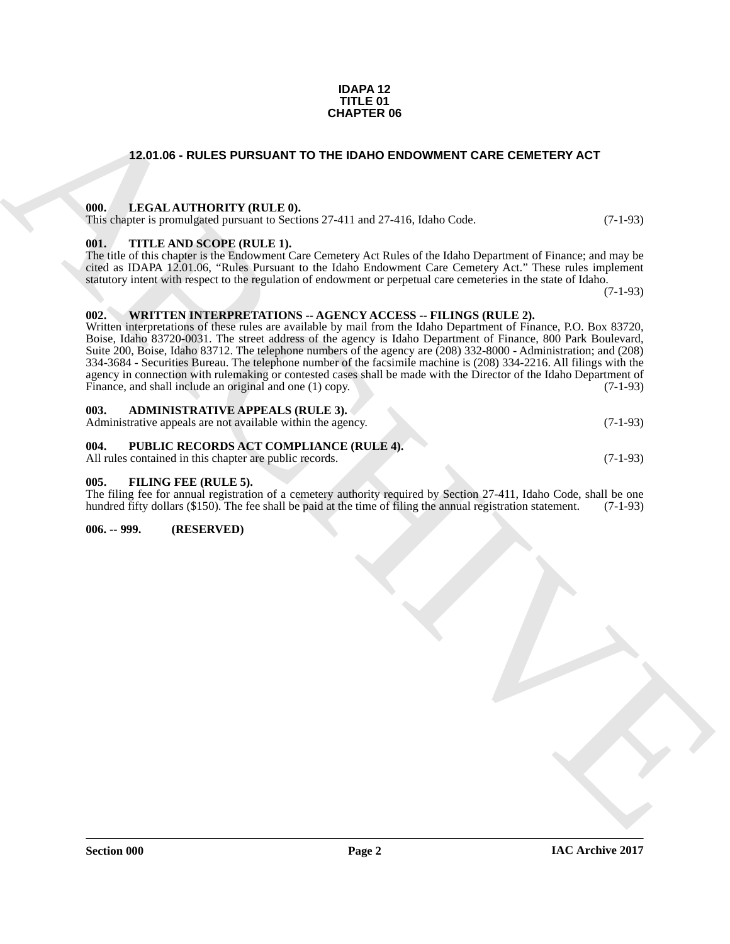#### **IDAPA 12 TITLE 01 CHAPTER 06**

#### <span id="page-1-0"></span>**12.01.06 - RULES PURSUANT TO THE IDAHO ENDOWMENT CARE CEMETERY ACT**

#### <span id="page-1-1"></span>**000. LEGAL AUTHORITY (RULE 0).**

This chapter is promulgated pursuant to Sections 27-411 and 27-416, Idaho Code.  $(7-1-93)$ 

#### <span id="page-1-2"></span>**001. TITLE AND SCOPE (RULE 1).**

The title of this chapter is the Endowment Care Cemetery Act Rules of the Idaho Department of Finance; and may be cited as IDAPA 12.01.06, "Rules Pursuant to the Idaho Endowment Care Cemetery Act." These rules implement statutory intent with respect to the regulation of endowment or perpetual care cemeteries in the state of Idaho.

(7-1-93)

#### <span id="page-1-3"></span>**002. WRITTEN INTERPRETATIONS -- AGENCY ACCESS -- FILINGS (RULE 2).**

**CHAPTER OF**<br>
12.01.05 - RULES PURSUANT TO THE IDAND ENDOWMENT CARE CEMETERY ACT<br>
13.01.1 - LEGAL AUTHORITY (RULE)<br>
13.1 - LEGAL AUTHORITY (RULE)<br>
13.1 - LEGAL AUTHORITY (RULE)<br>
13.1 - LEGAL AUTHORITY (RULE)<br>
13.1 - LEGAL Written interpretations of these rules are available by mail from the Idaho Department of Finance, P.O. Box 83720, Boise, Idaho 83720-0031. The street address of the agency is Idaho Department of Finance, 800 Park Boulevard, Suite 200, Boise, Idaho 83712. The telephone numbers of the agency are (208) 332-8000 - Administration; and (208) 334-3684 - Securities Bureau. The telephone number of the facsimile machine is (208) 334-2216. All filings with the agency in connection with rulemaking or contested cases shall be made with the Director of the Idaho Department of Finance, and shall include an original and one (1) copy. (7-1-93)

## <span id="page-1-4"></span>**003. ADMINISTRATIVE APPEALS (RULE 3).**

Administrative appeals are not available within the agency. (7-1-93)

#### <span id="page-1-5"></span>**004. PUBLIC RECORDS ACT COMPLIANCE (RULE 4).**

All rules contained in this chapter are public records. (7-1-93)

<span id="page-1-8"></span><span id="page-1-6"></span>**005. FILING FEE (RULE 5).** 

The filing fee for annual registration of a cemetery authority required by Section 27-411, Idaho Code, shall be one hundred fifty dollars (\$150). The fee shall be paid at the time of filing the annual registration statement. (7-1-93)

<span id="page-1-7"></span>**006. -- 999. (RESERVED)**